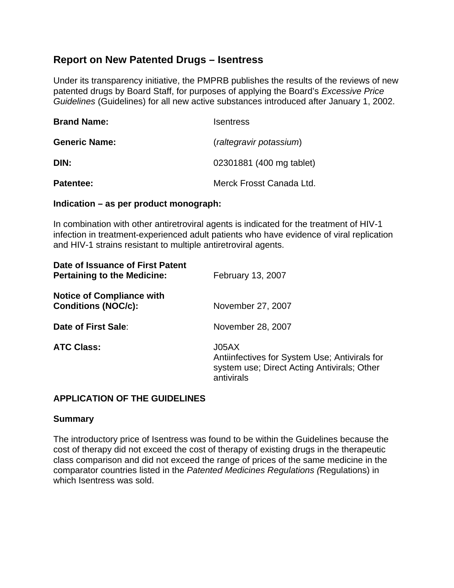# **Report on New Patented Drugs – Isentress**

Under its transparency initiative, the PMPRB publishes the results of the reviews of new patented drugs by Board Staff, for purposes of applying the Board's *Excessive Price Guidelines* (Guidelines) for all new active substances introduced after January 1, 2002.

| <b>Brand Name:</b>   | <b>Isentress</b>                                    |  |  |
|----------------------|-----------------------------------------------------|--|--|
| <b>Generic Name:</b> | (raltegravir potassium)<br>02301881 (400 mg tablet) |  |  |
| DIN:                 |                                                     |  |  |
| <b>Patentee:</b>     | Merck Frosst Canada Ltd.                            |  |  |

#### **Indication – as per product monograph:**

In combination with other antiretroviral agents is indicated for the treatment of HIV-1 infection in treatment-experienced adult patients who have evidence of viral replication and HIV-1 strains resistant to multiple antiretroviral agents.

| Date of Issuance of First Patent<br><b>Pertaining to the Medicine:</b> | February 13, 2007                                                                                                   |  |  |
|------------------------------------------------------------------------|---------------------------------------------------------------------------------------------------------------------|--|--|
| <b>Notice of Compliance with</b><br><b>Conditions (NOC/c):</b>         | November 27, 2007                                                                                                   |  |  |
| Date of First Sale:                                                    | November 28, 2007                                                                                                   |  |  |
| <b>ATC Class:</b>                                                      | J05AX<br>Antiinfectives for System Use; Antivirals for<br>system use; Direct Acting Antivirals; Other<br>antivirals |  |  |

## **APPLICATION OF THE GUIDELINES**

#### **Summary**

The introductory price of Isentress was found to be within the Guidelines because the cost of therapy did not exceed the cost of therapy of existing drugs in the therapeutic class comparison and did not exceed the range of prices of the same medicine in the comparator countries listed in the *Patented Medicines Regulations (*Regulations) in which Isentress was sold.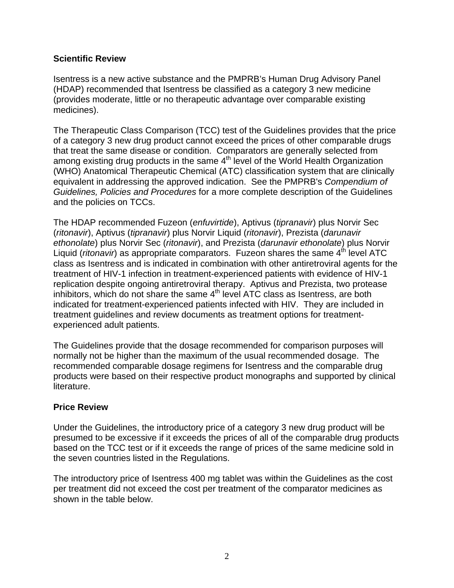## **Scientific Review**

Isentress is a new active substance and the PMPRB's Human Drug Advisory Panel (HDAP) recommended that Isentress be classified as a category 3 new medicine (provides moderate, little or no therapeutic advantage over comparable existing medicines).

The Therapeutic Class Comparison (TCC) test of the Guidelines provides that the price of a category 3 new drug product cannot exceed the prices of other comparable drugs that treat the same disease or condition. Comparators are generally selected from among existing drug products in the same  $4<sup>th</sup>$  level of the World Health Organization (WHO) Anatomical Therapeutic Chemical (ATC) classification system that are clinically equivalent in addressing the approved indication. See the PMPRB's *Compendium of Guidelines, Policies and Procedures* for a more complete description of the Guidelines and the policies on TCCs.

The HDAP recommended Fuzeon (*enfuvirtide*), Aptivus (*tipranavir*) plus Norvir Sec (*ritonavir*), Aptivus (*tipranavir*) plus Norvir Liquid (*ritonavir*), Prezista (*darunavir ethonolate*) plus Norvir Sec (*ritonavir*), and Prezista (*darunavir ethonolate*) plus Norvir Liquid (*ritonavir*) as appropriate comparators. Fuzeon shares the same 4<sup>th</sup> level ATC class as Isentress and is indicated in combination with other antiretroviral agents for the treatment of HIV-1 infection in treatment-experienced patients with evidence of HIV-1 replication despite ongoing antiretroviral therapy. Aptivus and Prezista, two protease inhibitors, which do not share the same 4<sup>th</sup> level ATC class as Isentress, are both indicated for treatment-experienced patients infected with HIV. They are included in treatment guidelines and review documents as treatment options for treatmentexperienced adult patients.

The Guidelines provide that the dosage recommended for comparison purposes will normally not be higher than the maximum of the usual recommended dosage. The recommended comparable dosage regimens for Isentress and the comparable drug products were based on their respective product monographs and supported by clinical literature.

## **Price Review**

Under the Guidelines, the introductory price of a category 3 new drug product will be presumed to be excessive if it exceeds the prices of all of the comparable drug products based on the TCC test or if it exceeds the range of prices of the same medicine sold in the seven countries listed in the Regulations.

The introductory price of Isentress 400 mg tablet was within the Guidelines as the cost per treatment did not exceed the cost per treatment of the comparator medicines as shown in the table below.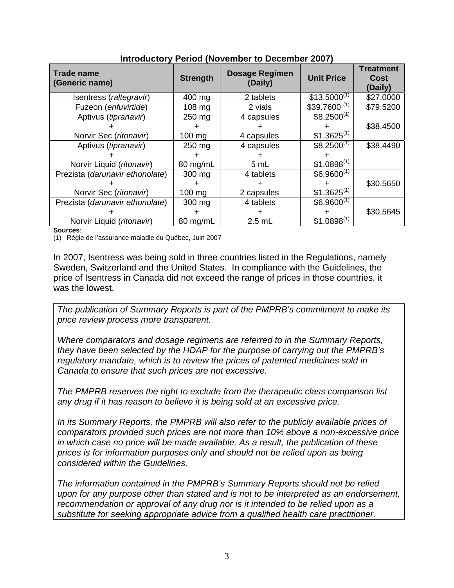| <b>Trade name</b><br>(Generic name) | <b>Strength</b>  | <b>Dosage Regimen</b><br>(Daily) | <b>Unit Price</b>         | <b>Treatment</b><br>Cost<br>(Daily) |
|-------------------------------------|------------------|----------------------------------|---------------------------|-------------------------------------|
| Isentress (raltegravir)             | 400 mg           | 2 tablets                        | $$13.5000^{(1)}$          | \$27.0000                           |
| Fuzeon ( <i>enfuvirtide</i> )       | $108 \text{ mg}$ | 2 vials                          | $$39.7600$ <sup>(1)</sup> | \$79.5200                           |
| Aptivus (tipranavir)                | 250 mg           | 4 capsules                       | $$8.2500^{(1)}$           |                                     |
|                                     |                  |                                  |                           | \$38.4500                           |
| Norvir Sec (ritonavir)              | 100 mg           | 4 capsules                       | $$1.3625^{(1)}$           |                                     |
| Aptivus (tipranavir)                | 250 mg           | 4 capsules                       | $$8.2500^{(1)}$           | \$38.4490                           |
|                                     |                  |                                  |                           |                                     |
| Norvir Liquid (ritonavir)           | 80 mg/mL         | 5 mL                             | $$1.0898^{(1)}$           |                                     |
| Prezista (darunavir ethonolate)     | 300 mg           | 4 tablets                        | $$6.9600^{(1)}$           |                                     |
|                                     |                  |                                  |                           | \$30.5650                           |
| Norvir Sec (ritonavir)              | $100 \text{ mg}$ | 2 capsules                       | $$1.3625^{(1)}$           |                                     |
| Prezista (darunavir ethonolate)     | 300 mg           | 4 tablets                        | $$6.9600^{(1)}$           |                                     |
|                                     |                  |                                  |                           | \$30.5645                           |
| Norvir Liquid (ritonavir)           | 80 mg/mL         | $2.5$ mL                         | $$1.0898^{(1)}$           |                                     |

## **Introductory Period (November to December 2007)**

#### **Sources**:

(1) Régie de l'assurance maladie du Québec, Juin 2007

In 2007, Isentress was being sold in three countries listed in the Regulations, namely Sweden, Switzerland and the United States. In compliance with the Guidelines, the price of Isentress in Canada did not exceed the range of prices in those countries, it was the lowest.

*The publication of Summary Reports is part of the PMPRB's commitment to make its price review process more transparent.* 

*Where comparators and dosage regimens are referred to in the Summary Reports, they have been selected by the HDAP for the purpose of carrying out the PMPRB's regulatory mandate, which is to review the prices of patented medicines sold in Canada to ensure that such prices are not excessive.* 

*The PMPRB reserves the right to exclude from the therapeutic class comparison list any drug if it has reason to believe it is being sold at an excessive price.* 

*In its Summary Reports, the PMPRB will also refer to the publicly available prices of comparators provided such prices are not more than 10% above a non-excessive price in which case no price will be made available. As a result, the publication of these prices is for information purposes only and should not be relied upon as being considered within the Guidelines.* 

*The information contained in the PMPRB's Summary Reports should not be relied upon for any purpose other than stated and is not to be interpreted as an endorsement, recommendation or approval of any drug nor is it intended to be relied upon as a substitute for seeking appropriate advice from a qualified health care practitioner.*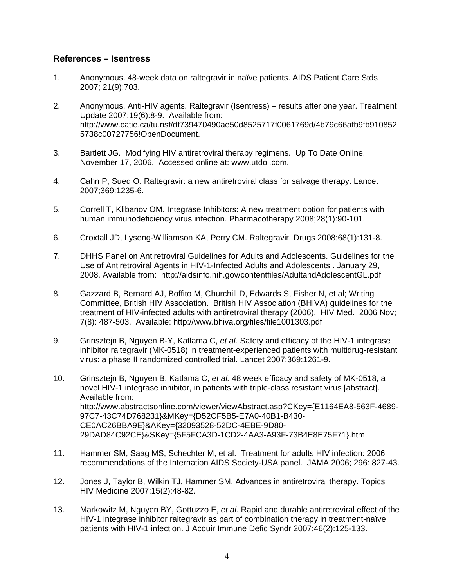#### **References – Isentress**

- 1. Anonymous. 48-week data on raltegravir in naïve patients. AIDS Patient Care Stds 2007; 21(9):703.
- 2. Anonymous. Anti-HIV agents. Raltegravir (Isentress) results after one year. Treatment Update 2007;19(6):8-9. Available from: http://www.catie.ca/tu.nsf/df739470490ae50d8525717f0061769d/4b79c66afb9fb910852 5738c00727756!OpenDocument.
- 3. Bartlett JG. Modifying HIV antiretroviral therapy regimens. Up To Date Online, November 17, 2006. Accessed online at: www.utdol.com.
- 4. Cahn P, Sued O. Raltegravir: a new antiretroviral class for salvage therapy. Lancet 2007;369:1235-6.
- 5. Correll T, Klibanov OM. Integrase Inhibitors: A new treatment option for patients with human immunodeficiency virus infection. Pharmacotherapy 2008;28(1):90-101.
- 6. Croxtall JD, Lyseng-Williamson KA, Perry CM. Raltegravir. Drugs 2008;68(1):131-8.
- 7. DHHS Panel on Antiretroviral Guidelines for Adults and Adolescents. Guidelines for the Use of Antiretroviral Agents in HIV-1-Infected Adults and Adolescents . January 29, 2008. Available from: http://aidsinfo.nih.gov/contentfiles/AdultandAdolescentGL.pdf
- 8. Gazzard B, Bernard AJ, Boffito M, Churchill D, Edwards S, Fisher N, et al; Writing Committee, British HIV Association. British HIV Association (BHIVA) guidelines for the treatment of HIV-infected adults with antiretroviral therapy (2006). HIV Med. 2006 Nov; 7(8): 487-503. Available: http://www.bhiva.org/files/file1001303.pdf
- 9. Grinsztejn B, Nguyen B-Y, Katlama C, *et al.* Safety and efficacy of the HIV-1 integrase inhibitor raltegravir (MK-0518) in treatment-experienced patients with multidrug-resistant virus: a phase II randomized controlled trial. Lancet 2007;369:1261-9.
- 10. Grinsztejn B, Nguyen B, Katlama C, *et al.* 48 week efficacy and safety of MK-0518, a novel HIV-1 integrase inhibitor, in patients with triple-class resistant virus [abstract]. Available from: http://www.abstractsonline.com/viewer/viewAbstract.asp?CKey={E1164EA8-563F-4689- 97C7-43C74D768231}&MKey={D52CF5B5-E7A0-40B1-B430- CE0AC26BBA9E}&AKey={32093528-52DC-4EBE-9D80- 29DAD84C92CE}&SKey={5F5FCA3D-1CD2-4AA3-A93F-73B4E8E75F71}.htm
- 11. Hammer SM, Saag MS, Schechter M, et al. Treatment for adults HIV infection: 2006 recommendations of the Internation AIDS Society-USA panel. JAMA 2006; 296: 827-43.
- 12. Jones J, Taylor B, Wilkin TJ, Hammer SM. Advances in antiretroviral therapy. Topics HIV Medicine 2007;15(2):48-82.
- 13. Markowitz M, Nguyen BY, Gottuzzo E, *et al*. Rapid and durable antiretroviral effect of the HIV-1 integrase inhibitor raltegravir as part of combination therapy in treatment-naïve patients with HIV-1 infection. J Acquir Immune Defic Syndr 2007;46(2):125-133.